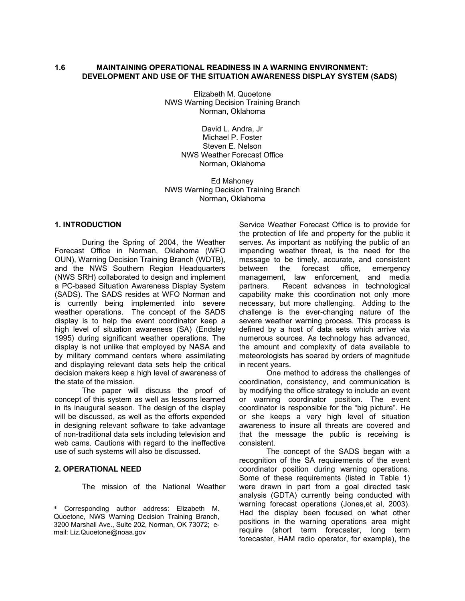#### **1.6 MAINTAINING OPERATIONAL READINESS IN A WARNING ENVIRONMENT: DEVELOPMENT AND USE OF THE SITUATION AWARENESS DISPLAY SYSTEM (SADS)**

Elizabeth M. Quoetone NWS Warning Decision Training Branch Norman, Oklahoma

> David L. Andra, Jr Michael P. Foster Steven E. Nelson NWS Weather Forecast Office Norman, Oklahoma

Ed Mahoney NWS Warning Decision Training Branch Norman, Oklahoma

## **1. INTRODUCTION**

 During the Spring of 2004, the Weather Forecast Office in Norman, Oklahoma (WFO OUN), Warning Decision Training Branch (WDTB), and the NWS Southern Region Headquarters (NWS SRH) collaborated to design and implement a PC-based Situation Awareness Display System (SADS). The SADS resides at WFO Norman and is currently being implemented into severe weather operations. The concept of the SADS display is to help the event coordinator keep a high level of situation awareness (SA) (Endsley 1995) during significant weather operations. The display is not unlike that employed by NASA and by military command centers where assimilating and displaying relevant data sets help the critical decision makers keep a high level of awareness of the state of the mission.

 The paper will discuss the proof of concept of this system as well as lessons learned in its inaugural season. The design of the display will be discussed, as well as the efforts expended in designing relevant software to take advantage of non-traditional data sets including television and web cams. Cautions with regard to the ineffective use of such systems will also be discussed.

#### **2. OPERATIONAL NEED**

The mission of the National Weather

Service Weather Forecast Office is to provide for the protection of life and property for the public it serves. As important as notifying the public of an impending weather threat, is the need for the message to be timely, accurate, and consistent between the forecast office, emergency management, law enforcement, and media partners. Recent advances in technological capability make this coordination not only more necessary, but more challenging. Adding to the challenge is the ever-changing nature of the severe weather warning process. This process is defined by a host of data sets which arrive via numerous sources. As technology has advanced, the amount and complexity of data available to meteorologists has soared by orders of magnitude in recent years.

 One method to address the challenges of coordination, consistency, and communication is by modifying the office strategy to include an event or warning coordinator position. The event coordinator is responsible for the "big picture". He or she keeps a very high level of situation awareness to insure all threats are covered and that the message the public is receiving is consistent.

 The concept of the SADS began with a recognition of the SA requirements of the event coordinator position during warning operations. Some of these requirements (listed in Table 1) were drawn in part from a goal directed task analysis (GDTA) currently being conducted with warning forecast operations (Jones,et al, 2003). Had the display been focused on what other positions in the warning operations area might require (short term forecaster, long term forecaster, HAM radio operator, for example), the

<sup>\*</sup> Corresponding author address: Elizabeth M. Quoetone, NWS Warning Decision Training Branch, 3200 Marshall Ave., Suite 202, Norman, OK 73072; email: Liz.Quoetone@noaa.gov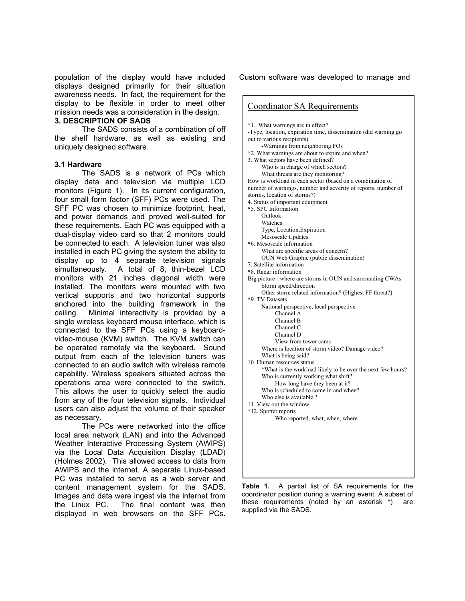population of the display would have included displays designed primarily for their situation awareness needs. In fact, the requirement for the display to be flexible in order to meet other mission needs was a consideration in the design.

#### **3. DESCRIPTION OF SADS**

 The SADS consists of a combination of off the shelf hardware, as well as existing and uniquely designed software.

### **3.1 Hardware**

 The SADS is a network of PCs which display data and television via multiple LCD monitors (Figure 1). In its current configuration, four small form factor (SFF) PCs were used. The SFF PC was chosen to minimize footprint, heat, and power demands and proved well-suited for these requirements. Each PC was equipped with a dual-display video card so that 2 monitors could be connected to each. A television tuner was also installed in each PC giving the system the ability to display up to 4 separate television signals simultaneously. A total of 8, thin-bezel LCD monitors with 21 inches diagonal width were installed. The monitors were mounted with two vertical supports and two horizontal supports anchored into the building framework in the ceiling. Minimal interactivity is provided by a single wireless keyboard mouse interface, which is connected to the SFF PCs using a keyboardvideo-mouse (KVM) switch. The KVM switch can be operated remotely via the keyboard. Sound output from each of the television tuners was connected to an audio switch with wireless remote capability. Wireless speakers situated across the operations area were connected to the switch. This allows the user to quickly select the audio from any of the four television signals. Individual users can also adjust the volume of their speaker as necessary.

 The PCs were networked into the office local area network (LAN) and into the Advanced Weather Interactive Processing System (AWIPS) via the Local Data Acquisition Display (LDAD) (Holmes 2002). This allowed access to data from AWIPS and the internet. A separate Linux-based PC was installed to serve as a web server and content management system for the SADS. Images and data were ingest via the internet from the Linux PC. The final content was then displayed in web browsers on the SFF PCs.

Custom software was developed to manage and

**Table 1.** A partial list of SA requirements for the coordinator position during a warning event. A subset of these requirements (noted by an asterisk **\***) are supplied via the SADS.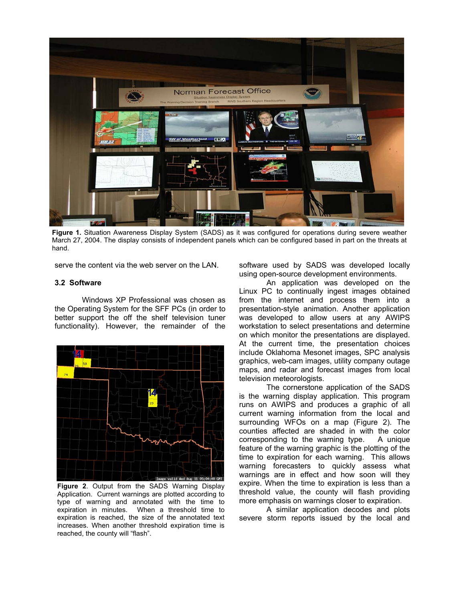

**Figure 1.** Situation Awareness Display System (SADS) as it was configured for operations during severe weather March 27, 2004. The display consists of independent panels which can be configured based in part on the threats at hand.

serve the content via the web server on the LAN.

#### **3.2 Software**

 Windows XP Professional was chosen as the Operating System for the SFF PCs (in order to better support the off the shelf television tuner functionality). However, the remainder of the



**Figure 2**. Output from the SADS Warning Display Application. Current warnings are plotted according to type of warning and annotated with the time to expiration in minutes. When a threshold time to expiration is reached, the size of the annotated text increases. When another threshold expiration time is reached, the county will "flash".

software used by SADS was developed locally using open-source development environments.

 An application was developed on the Linux PC to continually ingest images obtained from the internet and process them into a presentation-style animation. Another application was developed to allow users at any AWIPS workstation to select presentations and determine on which monitor the presentations are displayed. At the current time, the presentation choices include Oklahoma Mesonet images, SPC analysis graphics, web-cam images, utility company outage maps, and radar and forecast images from local television meteorologists.

 The cornerstone application of the SADS is the warning display application. This program runs on AWIPS and produces a graphic of all current warning information from the local and surrounding WFOs on a map (Figure 2). The counties affected are shaded in with the color corresponding to the warning type. A unique feature of the warning graphic is the plotting of the time to expiration for each warning. This allows warning forecasters to quickly assess what warnings are in effect and how soon will they expire. When the time to expiration is less than a threshold value, the county will flash providing more emphasis on warnings closer to expiration.

 A similar application decodes and plots severe storm reports issued by the local and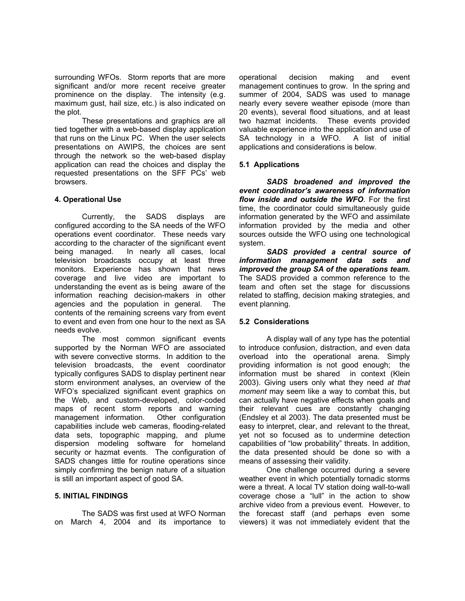surrounding WFOs. Storm reports that are more significant and/or more recent receive greater prominence on the display. The intensity (e.g. maximum gust, hail size, etc.) is also indicated on the plot.

 These presentations and graphics are all tied together with a web-based display application that runs on the Linux PC. When the user selects presentations on AWIPS, the choices are sent through the network so the web-based display application can read the choices and display the requested presentations on the SFF PCs' web browsers.

# **4. Operational Use**

 Currently, the SADS displays are configured according to the SA needs of the WFO operations event coordinator. These needs vary according to the character of the significant event being managed. In nearly all cases, local television broadcasts occupy at least three monitors. Experience has shown that news coverage and live video are important to understanding the event as is being aware of the information reaching decision-makers in other agencies and the population in general. The contents of the remaining screens vary from event to event and even from one hour to the next as SA needs evolve.

 The most common significant events supported by the Norman WFO are associated with severe convective storms. In addition to the television broadcasts, the event coordinator typically configures SADS to display pertinent near storm environment analyses, an overview of the WFO's specialized significant event graphics on the Web, and custom-developed, color-coded maps of recent storm reports and warning management information. Other configuration capabilities include web cameras, flooding-related data sets, topographic mapping, and plume dispersion modeling software for homeland security or hazmat events. The configuration of SADS changes little for routine operations since simply confirming the benign nature of a situation is still an important aspect of good SA.

### **5. INITIAL FINDINGS**

 The SADS was first used at WFO Norman on March 4, 2004 and its importance to operational decision making and event management continues to grow. In the spring and summer of 2004, SADS was used to manage nearly every severe weather episode (more than 20 events), several flood situations, and at least two hazmat incidents. These events provided valuable experience into the application and use of SA technology in a WFO. A list of initial applications and considerations is below.

# **5.1 Applications**

*SADS broadened and improved the event coordinator's awareness of information flow inside and outside the WFO*. For the first time, the coordinator could simultaneously guide information generated by the WFO and assimilate information provided by the media and other sources outside the WFO using one technological system.

*SADS provided a central source of information management data sets and improved the group SA of the operations team.*  The SADS provided a common reference to the team and often set the stage for discussions related to staffing, decision making strategies, and event planning.

### **5.2 Considerations**

 A display wall of any type has the potential to introduce confusion, distraction, and even data overload into the operational arena. Simply providing information is not good enough; the information must be shared in context (Klein 2003). Giving users only what they need *at that moment* may seem like a way to combat this, but can actually have negative effects when goals and their relevant cues are constantly changing (Endsley et al 2003). The data presented must be easy to interpret, clear, and relevant to the threat, yet not so focused as to undermine detection capabilities of "low probability" threats. In addition, the data presented should be done so with a means of assessing their validity.

 One challenge occurred during a severe weather event in which potentially tornadic storms were a threat. A local TV station doing wall-to-wall coverage chose a "lull" in the action to show archive video from a previous event. However, to the forecast staff (and perhaps even some viewers) it was not immediately evident that the